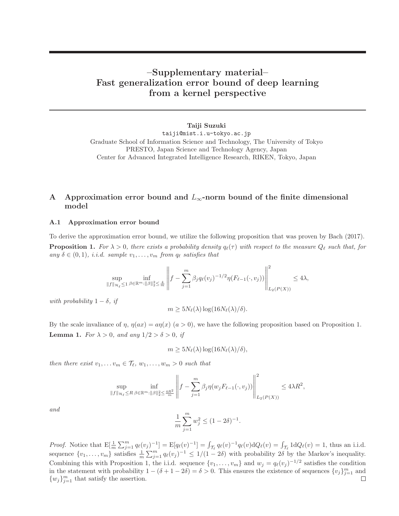# **–Supplementary material– Fast generalization error bound of deep learning from a kernel perspective**

**Taiji Suzuki** taiji@mist.i.u-tokyo.ac.jp Graduate School of Information Science and Technology, The University of Tokyo PRESTO, Japan Science and Technology Agency, Japan Center for Advanced Integrated Intelligence Research, RIKEN, Tokyo, Japan

## **A Approximation error bound and** L∞**-norm bound of the finite dimensional model**

#### **A.1 Approximation error bound**

To derive the approximation error bound, we utilize the following proposition that was proven by Bach (2017). **Proposition 1.** For  $\lambda > 0$ , there exists a probability density  $q_{\ell}(\tau)$  with respect to the measure  $Q_{\ell}$  such that, for any  $\delta \in (0,1)$ , *i.i.d.* sample  $v_1, \ldots, v_m$  from  $q_\ell$  satisfies that

$$
\sup_{\|f\|_{\mathcal{H}_{\ell}}\leq 1} \inf_{\beta \in \mathbb{R}^m:\|\beta\|_2^2\leq \frac{4}{m}} \left\|f - \sum_{j=1}^m \beta_j q_{\ell}(v_j)^{-1/2} \eta(F_{\ell-1}(\cdot,v_j))\right\|_{L_2(P(X))}^2 \leq 4\lambda,
$$

with probability  $1 - \delta$ , if

$$
m \geq 5N_{\ell}(\lambda) \log(16N_{\ell}(\lambda)/\delta).
$$

By the scale invaliance of  $\eta$ ,  $\eta(ax) = a\eta(x)$  ( $a > 0$ ), we have the following proposition based on Proposition 1. **Lemma 1.** For  $\lambda > 0$ , and any  $1/2 > \delta > 0$ , if

$$
m \ge 5N_{\ell}(\lambda) \log(16N_{\ell}(\lambda)/\delta),
$$

then there exist  $v_1, \ldots v_m \in \mathcal{T}_{\ell}, w_1, \ldots, w_m > 0$  such that

$$
\sup_{\|f\|_{\mathcal{H}_{\ell}}\leq R} \inf_{\beta \in \mathbb{R}^m:\|\beta\|_2^2 \leq \frac{4R^2}{m}} \left\|f - \sum_{j=1}^m \beta_j \eta(w_j F_{\ell-1}(\cdot, v_j)) \right\|_{L_2(P(X))}^2 \leq 4\lambda R^2,
$$

and

$$
\frac{1}{m} \sum_{j=1}^{m} w_j^2 \le (1 - 2\delta)^{-1}.
$$

Proof. Notice that  $E[\frac{1}{m}\sum_{j=1}^{m}q_{\ell}(v_j)^{-1}] = E[q_{\ell}(v)^{-1}] = \int_{\mathcal{T}_{\ell}}q_{\ell}(v)^{-1}q_{\ell}(v)dQ_{\ell}(v) = \int_{\mathcal{T}_{\ell}}1dQ_{\ell}(v) = 1$ , thus an i.i.d. sequence  $\{v_1,\ldots,v_m\}$  satisfies  $\frac{1}{m}\sum_{j=1}^m q_\ell(v_j)^{-1} \leq 1/(1-2\delta)$  with probability  $2\delta$  by the Markov's inequality. Combining this with Proposition 1, the i.i.d. sequence  $\{v_1, \ldots, v_m\}$  and  $w_j = q_\ell(v_j)^{-1/2}$  satisfies the condition in the statement with probability  $1 - (\delta + 1 - 2\delta) = \delta > 0$ . This ensures the existence of sequences  $\{v_j\}_{j=1}^m$  and  $\Box$  $\{w_j\}_{j=1}^m$  that satisfy the assertion.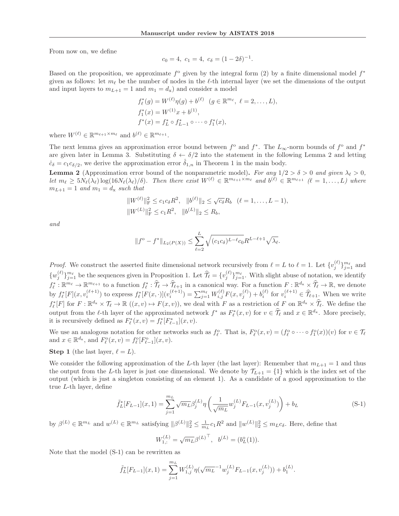From now on, we define

$$
c_0 = 4, \ c_1 = 4, \ c_\delta = (1 - 2\delta)^{-1}.
$$

Based on the proposition, we approximate  $f^{\circ}$  given by the integral form (2) by a finite dimensional model  $f^*$ given as follows: let  $m_{\ell}$  be the number of nodes in the  $\ell$ -th internal layer (we set the dimensions of the output and input layers to  $m_{L+1} = 1$  and  $m_1 = d_x$ ) and consider a model

$$
f_{\ell}^{*}(g) = W^{(\ell)}\eta(g) + b^{(\ell)} \quad (g \in \mathbb{R}^{m_{\ell}}, \ \ell = 2, ..., L),
$$
  
\n
$$
f_{1}^{*}(x) = W^{(1)}x + b^{(1)},
$$
  
\n
$$
f^{*}(x) = f_{L}^{*} \circ f_{L-1}^{*} \circ \cdots \circ f_{1}^{*}(x),
$$

where  $W^{(\ell)} \in \mathbb{R}^{m_{\ell+1} \times m_{\ell}}$  and  $b^{(\ell)} \in \mathbb{R}^{m_{\ell+1}}$ .

The next lemma gives an approximation error bound between  $f^{\circ}$  and  $f^*$ . The  $L_{\infty}$ -norm bounds of  $f^{\circ}$  and  $f^*$ are given later in Lemma 3. Substituting  $\delta \leftarrow \delta/2$  into the statement in the following Lemma 2 and letting  $\hat{c}_{\delta} = c_1 c_{\delta/2}$ , we derive the approximation error  $\hat{\delta}_{1,n}$  in Theorem 1 in the main body.

**Lemma 2** (Approximation error bound of the nonparametric model). For any  $1/2 > \delta > 0$  and given  $\lambda_{\ell} > 0$ , Let  $m_{\ell} \geq 5N_{\ell}(\lambda_{\ell})\log(16N_{\ell}(\lambda_{\ell})/\delta)$ . Then there exist  $W^{(\ell)} \in \mathbb{R}^{m_{\ell+1}\times m_{\ell}}$  and  $b^{(\ell)} \in \mathbb{R}^{m_{\ell+1}}$   $(\ell = 1,\ldots,L)$  where  $m_{L+1} = 1$  and  $m_1 = d_x$  such that

$$
||W^{(\ell)}||_{\mathrm{F}}^2 \le c_1 c_\delta R^2, \quad ||b^{(\ell)}||_2 \le \sqrt{c_\delta} R_b \quad (\ell = 1, \ldots, L-1),
$$
  

$$
||W^{(L)}||_{\mathrm{F}}^2 \le c_1 R^2, \quad ||b^{(L)}||_2 \le R_b,
$$

and

$$
||f^{\circ} - f^{*}||_{L_{2}(P(X))} \leq \sum_{\ell=2}^{L} \sqrt{(c_{1}c_{\delta})^{L-\ell}c_{0}} R^{L-\ell+1} \sqrt{\lambda_{\ell}}.
$$

*Proof.* We construct the asserted finite dimensional network recursively from  $\ell = L$  to  $\ell = 1$ . Let  $\{v_j^{(\ell)}\}_{j=1}^{m_{\ell}}$  $\frac{m_{\ell}}{j=1}$  and  $\{w_j^{(\ell)}\}_{j = }^{m_\ell}$  $j=1$  be the sequences given in Proposition 1. Let  $\hat{\mathcal{T}}_{\ell} = \{v_j^{(\ell)}\}_{j=1}^{m_{\ell}}$  $j=1$ . With slight abuse of notation, we identify  $f_{\ell}^* : \mathbb{R}^{m_{\ell}} \to \mathbb{R}^{m_{\ell+1}}$  to a function  $f_{\ell}^* : \widehat{\mathcal{T}}_{\ell} \to \widehat{\mathcal{T}}_{\ell+1}$  in a canonical way. For a function  $F : \mathbb{R}^{d_x} \times \widehat{\mathcal{T}}_{\ell} \to \mathbb{R}$ , we denote by  $f_{\ell}^*[F](x, v_i^{(\ell+1)})$  to express  $f_{\ell}^*[F(x, \cdot)](v_i^{(\ell+1)}) = \sum_{j=1}^{m_{\ell}}$  $\hat{f}_{j=1}^{m_{\ell}} W_{i,j}^{(\ell)} F(x, v_j^{(\ell)}) + b_i^{(\ell)}$  for  $v_i^{(\ell+1)} \in \hat{\mathcal{T}}_{\ell+1}$ . When we write  $f_{\ell}^*[F]$  for  $F: \mathbb{R}^{d_{\mathbf{x}}} \times \mathcal{T}_{\ell} \to \mathbb{R}$   $((x, v) \mapsto F(x, v))$ , we deal with F as a restriction of F on  $\mathbb{R}^{d_{\mathbf{x}}} \times \widehat{T}_{\ell}$ . We define the output from the  $\ell$ -th layer of the approximated network  $f^*$  as  $F^*_{\ell}(x, v)$  for  $v \in \hat{\mathcal{T}}_{\ell}$  and  $x \in \mathbb{R}^{d_x}$ . More precisely, it is recursively defined as  $F_{\ell}^*(x, v) = f_{\ell}^*[F_{\ell-1}^*](x, v)$ .

We use an analogous notation for other networks such as  $f_{\ell}^{\circ}$ . That is,  $F_{\ell}^{\circ}(x,v)=(f_{\ell}^{\circ}\circ\cdots\circ f_1^{\circ}(x))(v)$  for  $v\in\mathcal{T}_{\ell}$ <br>and  $x\in\mathbb{R}^{d_x}$  and  $F^{\circ}(x,v)=f^{\circ}[F^{\circ}](x,v)$ and  $x \in \mathbb{R}^{d_x}$ , and  $F_{\ell}^{\text{o}}(x, v) = f_{\ell}^{\text{o}}[F_{\ell-1}^{\text{o}}](x, v)$ .

**Step 1** (the last layer,  $\ell = L$ ).

We consider the following approximation of the L-th layer (the last layer): Remember that  $m_{L+1} = 1$  and thus the output from the L-th layer is just one dimensional. We denote by  $\mathcal{T}_{L+1} = \{1\}$  which is the index set of the output (which is just a singleton consisting of an element 1). As a candidate of a good approximation to the true L-th layer, define

$$
\tilde{f}_L^*[F_{L-1}](x,1) = \sum_{j=1}^{m_L} \sqrt{m_L} \beta_j^{(L)} \eta \left(\frac{1}{\sqrt{m_L}} w_j^{(L)} F_{L-1}(x, v_j^{(L)})\right) + b_L
$$
\n(S-1)

by  $\beta^{(L)} \in \mathbb{R}^{m_L}$  and  $w^{(L)} \in \mathbb{R}^{m_L}$  satisfying  $\|\beta^{(L)}\|_2^2 \leq \frac{1}{m_L} c_1 R^2$  and  $\|w^{(L)}\|_2^2 \leq m_L c_{\delta}$ . Here, define that

$$
W_{1,:}^{(L)} = \sqrt{m_L} \beta^{(L)}^{\top}, \quad b^{(L)} = (b_L^{\circ}(1)).
$$

Note that the model (S-1) can be rewritten as

$$
\tilde{f}_L^*[F_{L-1}](x,1) = \sum_{j=1}^{m_L} W_{1,j}^{(L)} \eta(\sqrt{m_L}^{-1} w_j^{(L)} F_{L-1}(x, v_j^{(L)})) + b_1^{(L)}.
$$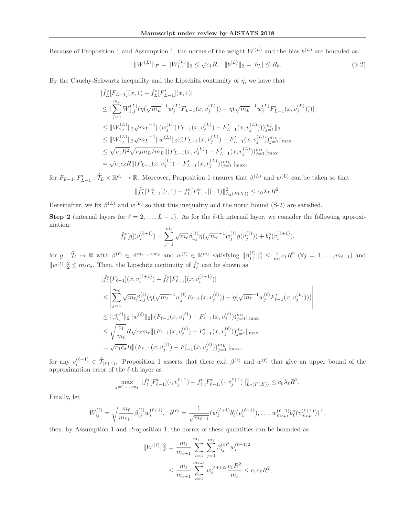Because of Proposition 1 and Assumption 1, the norms of the weight  $W^{(L)}$  and the bias  $b^{(L)}$  are bounded as

$$
||W^{(L)}||_F = ||W^{(L)}_{1,:}||_2 \le \sqrt{c_1}R, \quad ||b^{(L)}||_2 = |b_L| \le R_b.
$$
\n(S-2)

By the Cauchy-Schwartz inequality and the Lipschitz continuity of  $\eta$ , we have that

$$
\begin{split}\n&\|\tilde{f}_L^*[F_{L-1}](x,1)-\tilde{f}_L^*[F'_{L-1}](x,1)| \\
&\leq |\sum_{j=1}^{m_L} W_{1,j}^{(L)}(\eta(\sqrt{m_L}^{-1}w_j^{(L)}F_{L-1}(x,v_j^{(L)})) - \eta(\sqrt{m_L}^{-1}w_j^{(L)}F'_{L-1}(x,v_j^{(L)})))| \\
&\leq \|W_{1,:}^{(L)}\|_2\sqrt{m_L}^{-1}\|w_j^{(L)}(F_{L-1}(x,v_j^{(L)}) - F'_{L-1}(x,v_j^{(L)})))\|_{j=1}^{m_L}\|_2 \\
&\leq \|W_{1,:}^{(L)}\|_2\sqrt{m_L}^{-1}\|w_j^{(L)}\|_2\|(F_{L-1}(x,v_j^{(L)}) - F'_{L-1}(x,v_j^{(L)}))\|_{j=1}^{m_L}\|_{\max} \\
&\leq \sqrt{c_1R^2}\sqrt{c_\delta m_L/m_L}\|(F_{L-1}(x,v_j^{(L)}) - F'_{L-1}(x,v_j^{(L)}))\|_{j=1}^{m_L}\|_{\max} \\
&= \sqrt{c_1c_\delta}R\|(F_{L-1}(x,v_j^{(L)}) - F'_{L-1}(x,v_j^{(L)}))\|_{j=1}^{m_L}\|_{\max},\n\end{split}
$$

for  $F_{L-1}, F'_{L-1} : \hat{\mathcal{T}}_L \times \mathbb{R}^{d_x} \to \mathbb{R}$ . Moreover, Proposition 1 ensures that  $\beta^{(L)}$  and  $w^{(L)}$  can be taken so that

$$
\|\tilde{f}_L^*[F_{L-1}^o](\cdot,1)-f_L^o[F_{L-1}^o](\cdot,1)\|_{L_2(P(X))}^2 \le c_0\lambda_L R^2.
$$

Hereinafter, we fix  $\beta^{(L)}$  and  $w^{(L)}$  so that this inequality and the norm bound (S-2) are satisfied.

**Step 2** (internal layers for  $\ell = 2, \ldots, L-1$ ). As for the  $\ell$ -th internal layer, we consider the following approximation:

$$
\tilde{f}_{\ell}^*[g](v_i^{(\ell+1)}) = \sum_{j=1}^{m_{\ell}} \sqrt{m_{\ell}} \beta_{i,j}^{(\ell)} \eta(\sqrt{m_{\ell}}^{-1} w_j^{(\ell)} g(v_j^{(\ell)})) + b_{\ell}^{\mathrm{o}}(v_i^{(\ell+1)}),
$$

for  $g: \hat{\mathcal{T}}_{\ell} \to \mathbb{R}$  with  $\beta^{(\ell)} \in \mathbb{R}^{m_{\ell+1} \times m_{\ell}}$  and  $w^{(\ell)} \in \mathbb{R}^{m_{\ell}}$  satisfying  $\|\beta_{j,:}^{(\ell)}\|_2^2 \leq \frac{1}{m_{\ell}} c_1 R^2$  ( $\forall j = 1, ..., m_{\ell+1}$ ) and  $||w^{(\ell)}||_2^2 \leq m_{\ell}c_{\delta}$ . Then, the Lipschitz continuity of  $\tilde{f}_{\ell}^*$  can be shown as

$$
\begin{split}\n&\|\tilde{f}_{\ell}^{*}[F_{\ell-1}](x,v_{i}^{(\ell+1)}) - \tilde{f}_{\ell}^{*}[F'_{\ell-1}](x,v_{i}^{(\ell+1)})| \\
&\leq \left| \sum_{j=1}^{m_{\ell}} \sqrt{m_{\ell}} \beta_{i,j}^{(\ell)} \left( \eta(\sqrt{m_{\ell}}^{-1} w_{j}^{(\ell)} F_{\ell-1}(x,v_{j}^{(\ell)})) - \eta(\sqrt{m_{\ell}}^{-1} w_{j}^{(\ell)} F'_{\ell-1}(x,v_{j}^{(L)})) \right) \right| \\
&\leq \|\beta_{i,:}^{(\ell)}\|_{2} \|w^{(\ell)}\|_{2} \| (F_{\ell-1}(x,v_{j}^{(\ell)}) - F'_{\ell-1}(x,v_{j}^{(\ell)}))_{j=1}^{m_{\ell}} \|_{\max} \\
&\leq \sqrt{\frac{c_{1}}{m_{\ell}}} R \sqrt{c_{\delta} m_{\ell}} \| (F_{\ell-1}(x,v_{j}^{(\ell)}) - F'_{\ell-1}(x,v_{j}^{(\ell)}))_{j=1}^{m_{\ell}} \|_{\max} \\
&= \sqrt{c_{1} c_{\delta}} R \| (F_{\ell-1}(x,v_{j}^{(\ell)}) - F'_{\ell-1}(x,v_{j}^{(\ell)}))_{j=1}^{m_{L}} \|_{\max},\n\end{split}
$$

for any  $v_i^{(\ell+1)} \in \hat{\mathcal{T}}_{(\ell+1)}$ . Proposition 1 asserts that there exit  $\beta^{(\ell)}$  and  $w^{(\ell)}$  that give an upper bound of the approximation error of the  $\ell$ -th layer as

$$
\max_{j=1,\dots,m_\ell} \|\tilde{f}_\ell^*[F_{\ell-1}^{\circ}](\cdot,v_j^{\ell+1}) - f_\ell^{\circ}[F_{\ell-1}^{\circ}](\cdot,v_j^{\ell+1})\|_{L_2(P(X))}^2 \le c_0\lambda_\ell R^2.
$$

Finally, let

$$
W_{ij}^{(\ell)} = \sqrt{\frac{m_{\ell}}{m_{\ell+1}}} \beta_{ij}^{(\ell)} w_i^{(\ell+1)}, \quad b^{(\ell)} = \frac{1}{\sqrt{m_{\ell+1}}} (w_1^{(\ell+1)} b_{\ell}^{\circ}(v_1^{(\ell+1)}), \dots, w_{m_{\ell+1}}^{(\ell+1)} b_{\ell}^{\circ}(v_{m_{\ell+1}}^{(\ell+1)}))^\top,
$$

then, by Assumption 1 and Proposition 1, the norms of these quantities can be bounded as

$$
||W^{(\ell)}||_{\mathrm{F}}^2 = \frac{m_{\ell}}{m_{\ell+1}} \sum_{i=1}^{m_{\ell+1}} \sum_{j=1}^{m_{\ell}} \beta_{ij}^{(\ell)} w_i^{(\ell+1)2}
$$
  

$$
\leq \frac{m_{\ell}}{m_{\ell+1}} \sum_{i=1}^{m_{\ell+1}} w_i^{(\ell+1)2} \frac{c_1 R^2}{m_{\ell}} \leq c_1 c_{\delta} R^2,
$$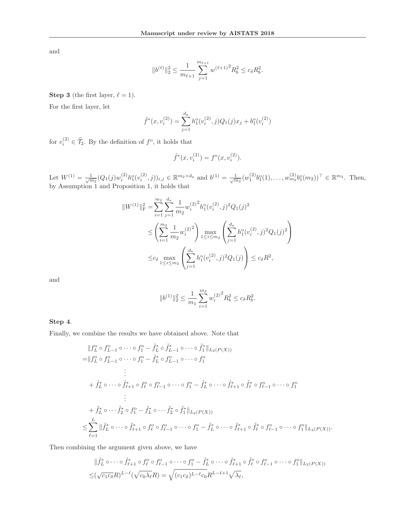and

$$
||b^{(\ell)}||_2^2 \le \frac{1}{m_{\ell+1}} \sum_{j=1}^{m_{\ell+1}} w^{(\ell+1)^2} R_b^2 \le c_\delta R_b^2.
$$

**Step 3** (the first layer,  $\ell = 1$ ).

For the first layer, let

$$
\tilde{f}^*(x, v_i^{(2)}) = \sum_{j=1}^{d_x} h_1^{\circ}(v_i^{(2)}, j) Q_1(j) x_j + b_1^{\circ}(v_i^{(2)})
$$

for  $v_i^{(2)} \in \mathcal{T}_2$ . By the definition of  $f^{\circ}$ , it holds that

$$
\tilde{f}^*(x, v_i^{(2)}) = f^{\circ}(x, v_i^{(2)}).
$$

Let  $W^{(1)} = \frac{1}{\sqrt{m_2}} (Q_1(j) w_i^{(2)} h_1^o(v_i^{(2)}, j))_{i,j} \in \mathbb{R}^{m_2 \times d_x}$  and  $b^{(1)} = \frac{1}{\sqrt{m_2}} (w_1^{(2)} b_1^o(1), \ldots, w_{m_2}^{(2)} b_1^o(m_2))^{\top} \in \mathbb{R}^{m_2}$ . Then, by Assumption 1 and Proposition 1, it holds that

$$
||W^{(1)}||_F^2 = \sum_{i=1}^{m_2} \sum_{j=1}^{d_x} \frac{1}{m_2} w_i^{(2)^2} h_1^o(v_i^{(2)}, j)^2 Q_1(j)^2
$$
  
\n
$$
\leq \left(\sum_{i=1}^{m_2} \frac{1}{m_2} w_i^{(2)^2}\right) \max_{1 \leq i \leq m_2} \left(\sum_{j=1}^{d_x} h_1^o(v_i^{(2)}, j)^2 Q_1(j)^2\right)
$$
  
\n
$$
\leq c_{\delta} \max_{1 \leq i \leq m_2} \left(\sum_{j=1}^{d_x} h_1^o(v_i^{(2)}, j)^2 Q_1(j)\right) \leq c_{\delta} R^2,
$$

and

$$
||b^{(1)}||_2^2 \le \frac{1}{m_1} \sum_{i=1}^{m_2} w_i^{(2)^2} R_b^2 \le c_\delta R_b^2.
$$

## **Step 4**.

Finally, we combine the results we have obtained above. Note that

$$
\|f_{L}^{0} \circ f_{L-1}^{0} \circ \cdots \circ f_{1}^{0} - \tilde{f}_{L}^{*} \circ \tilde{f}_{L-1}^{*} \circ \cdots \circ \tilde{f}_{1}^{*} \|_{L_{2}(P(X))}
$$
\n
$$
= \|f_{L}^{0} \circ f_{L-1}^{0} \circ \cdots \circ f_{1}^{0} - \tilde{f}_{L}^{*} \circ f_{L-1}^{0} \circ \cdots \circ f_{1}^{0}
$$
\n
$$
\vdots
$$
\n
$$
+ \tilde{f}_{L}^{*} \circ \cdots \circ \tilde{f}_{\ell+1}^{*} \circ f_{\ell}^{0} \circ f_{\ell-1}^{0} \circ \cdots \circ f_{1}^{0} - \tilde{f}_{L}^{*} \circ \cdots \circ \tilde{f}_{\ell+1}^{*} \circ \tilde{f}_{\ell}^{*} \circ f_{\ell-1}^{0} \circ \cdots \circ f_{1}^{0}
$$
\n
$$
\vdots
$$
\n
$$
+ \tilde{f}_{L}^{*} \circ \cdots \tilde{f}_{2}^{*} \circ f_{1}^{0} - \tilde{f}_{L}^{*} \circ \cdots \tilde{f}_{2}^{*} \circ \tilde{f}_{1}^{*} \|_{L_{2}(P(X))}
$$
\n
$$
\leq \sum_{\ell=1}^{L} \|\tilde{f}_{L}^{*} \circ \cdots \circ \tilde{f}_{\ell+1}^{*} \circ f_{\ell}^{0} \circ f_{\ell-1}^{0} \circ \cdots \circ f_{1}^{0} - \tilde{f}_{L}^{*} \circ \cdots \circ \tilde{f}_{\ell+1}^{*} \circ \tilde{f}_{\ell}^{*} \circ f_{\ell-1}^{0} \circ \cdots \circ f_{1}^{0} \|_{L_{2}(P(X))}.
$$

Then combining the argument given above, we have

$$
\|\tilde{f}_L^* \circ \cdots \circ \tilde{f}_{\ell+1}^* \circ f_\ell^{\circ} \circ f_{\ell-1}^{\circ} \circ \cdots \circ f_1^{\circ} - \tilde{f}_L^* \circ \cdots \circ \tilde{f}_{\ell+1}^* \circ \tilde{f}_\ell^* \circ f_{\ell-1}^{\circ} \circ \cdots \circ f_1^{\circ} \|_{L_2(P(X))}
$$
  

$$
\leq (\sqrt{c_1 c_\delta} R)^{L-\ell} (\sqrt{c_0 \lambda_\ell} R) = \sqrt{(c_1 c_\delta)^{L-\ell} c_0} R^{L-\ell+1} \sqrt{\lambda_\ell},
$$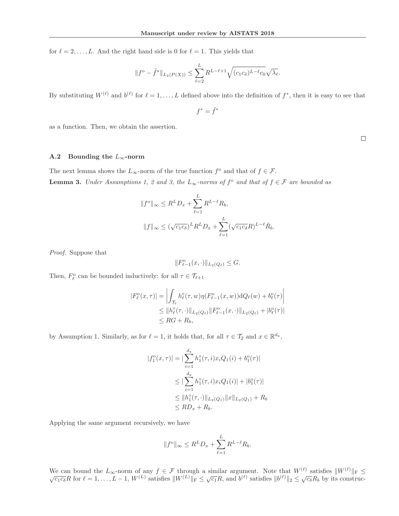for  $\ell = 2, \ldots, L$ . And the right hand side is 0 for  $\ell = 1$ . This yields that

$$
||f^{\circ}-\tilde{f}^*||_{L_2(P(X))} \leq \sum_{\ell=2}^L R^{L-\ell+1} \sqrt{(c_1c_\delta)^{L-\ell}c_0} \sqrt{\lambda_\ell}.
$$

By substituting  $W^{(\ell)}$  and  $b^{(\ell)}$  for  $\ell = 1, \ldots, L$  defined above into the definition of  $f^*$ , then it is easy to see that

$$
f^*=\tilde f^*
$$

as a function. Then, we obtain the assertion.

 $\Box$ 

## **A.2** Bounding the  $L_{\infty}$ -norm

The next lemma shows the  $L_{\infty}$ -norm of the true function  $f^{\circ}$  and that of  $f \in \mathcal{F}$ . **Lemma 3.** Under Assumptions 1, 2 and 3, the  $L_{\infty}$ -norms of  $f^{\circ}$  and that of  $f \in \mathcal{F}$  are bounded as

$$
||f^{\circ}||_{\infty} \leq R^{L} D_{x} + \sum_{\ell=1}^{L} R^{L-\ell} R_{b},
$$
  

$$
||f||_{\infty} \leq (\sqrt{c_{1} c_{\delta}})^{L} R^{L} D_{x} + \sum_{\ell=1}^{L} (\sqrt{c_{1} c_{\delta}} R)^{L-\ell} \overline{R}_{b}.
$$

Proof. Suppose that

$$
||F_{\ell-1}^{\circ}(x,\cdot)||_{L_2(Q_{\ell})}\leq G.
$$

Then,  $F_{\ell}^{\circ}$  can be bounded inductively: for all  $\tau \in \mathcal{T}_{\ell}$  $\pm$ 

$$
|F_{\ell}^{o}(x,\tau)| = \left| \int_{\mathcal{T}_{\ell}} h_{\ell}^{o}(\tau,w)\eta(F_{\ell-1}^{o}(x,w))\mathrm{d}Q_{\ell}(w) + b_{\ell}^{o}(\tau) \right|
$$
  
\n
$$
\leq ||h_{\ell}^{o}(\tau,\cdot)||_{L_{2}(Q_{\ell})}||F_{\ell-1}^{o}(x,\cdot)||_{L_{2}(Q_{\ell})} + |b_{\ell}^{o}(\tau)|
$$
  
\n
$$
\leq RG + R_{b},
$$

by Assumption 1. Similarly, as for  $\ell = 1$ , it holds that, for all  $\tau \in \mathcal{T}_2$  and  $x \in \mathbb{R}^{d_x}$ ,

$$
|f_1^o(x,\tau)| = |\sum_{i=1}^{d_x} h_1^o(\tau,i)x_iQ_1(i) + b_1^o(\tau)|
$$
  
\n
$$
\leq |\sum_{i=1}^{d_x} h_1^o(\tau,i)x_iQ_1(i)| + |b_1^o(\tau)|
$$
  
\n
$$
\leq ||h_1^o(\tau,\cdot)||_{L_2(Q_1)} ||x||_{L_2(Q_1)} + R_b
$$
  
\n
$$
\leq RD_x + R_b.
$$

Applying the same argument recursively, we have

$$
||f^{\circ}||_{\infty} \leq R^L D_x + \sum_{\ell=1}^L R^{L-\ell} R_b.
$$

We can bound the  $L_{\infty}$ -norm of any  $f \in \mathcal{F}$  through a similar argument. Note that  $W^{(\ell)}$  satisfies  $||W^{(\ell)}||_F \le \sqrt{c_1 c_\delta} R$  for  $\ell = 1, \ldots, L-1$ ,  $W^{(L)}$  satisfies  $||W^{(L)}||_F \le \sqrt{c_1} R$ , and  $b^{(\ell)}$  satisfies  $||b^{(\ell$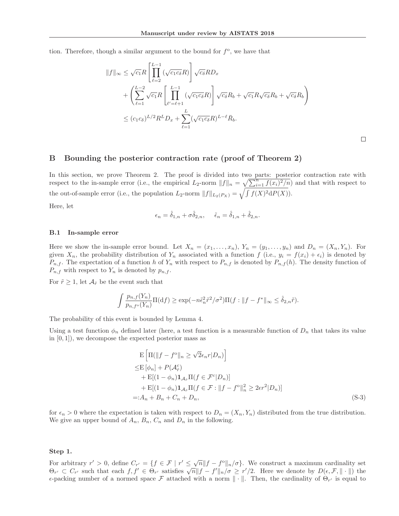tion. Therefore, though a similar argument to the bound for  $f^{\circ}$ , we have that

$$
||f||_{\infty} \leq \sqrt{c_1} R \left[ \prod_{\ell=2}^{L-1} (\sqrt{c_1 c_{\delta}} R) \right] \sqrt{c_{\delta}} R D_x
$$
  
+ 
$$
\left( \sum_{\ell=1}^{L-2} \sqrt{c_1} R \left[ \prod_{\ell'=\ell+1}^{L-1} (\sqrt{c_1 c_{\delta}} R) \right] \sqrt{c_{\delta}} R_b + \sqrt{c_1} R \sqrt{c_{\delta}} R_b + \sqrt{c_{\delta}} R_b \right)
$$
  

$$
\leq (c_1 c_{\delta})^{L/2} R^L D_x + \sum_{\ell=1}^{L} (\sqrt{c_1 c_{\delta}} R)^{L-\ell} \bar{R}_b.
$$

## **B Bounding the posterior contraction rate (proof of Theorem 2)**

In this section, we prove Theorem 2. The proof is divided into two parts: posterior contraction rate with respect to the in-sample error (i.e., the empirical  $L_2$ -norm  $||f||_n = \sqrt{\sum_{i=1}^n f(x_i)^2/n}$ ) and that with respect to the out-of-sample error (i.e., the population  $L_2$ -norm  $||f||_{L_2(P_X)} = \sqrt{\int f(X)^2 dP(X)}$ ).

Here, let

$$
\epsilon_n = \hat{\delta}_{1,n} + \sigma \hat{\delta}_{2,n}, \quad \tilde{\epsilon}_n = \hat{\delta}_{1,n} + \hat{\delta}_{2,n}.
$$

#### **B.1 In-sample error**

Here we show the in-sample error bound. Let  $X_n = (x_1, \ldots, x_n)$ ,  $Y_n = (y_1, \ldots, y_n)$  and  $D_n = (X_n, Y_n)$ . For given  $X_n$ , the probability distribution of  $Y_n$  associated with a function  $f$  (i.e.,  $y_i = f(x_i) + \epsilon_i$ ) is denoted by  $P_{n,f}$ . The expectation of a function h of  $Y_n$  with respect to  $P_{n,f}$  is denoted by  $P_{n,f}(h)$ . The density function of  $P_{n,f}$  with respect to  $Y_n$  is denoted by  $p_{n,f}$ .

For  $\tilde{r} \geq 1$ , let  $\mathcal{A}_{\tilde{r}}$  be the event such that

$$
\int \frac{p_{n,f}(Y_n)}{p_{n,f} \circ (Y_n)} \Pi(\mathrm{d}f) \ge \exp(-n\tilde{\epsilon}_n^2 \tilde{r}^2/\sigma^2) \Pi(f: ||f - f^*||_{\infty} \le \hat{\delta}_{2,n} \tilde{r}).
$$

The probability of this event is bounded by Lemma 4.

Using a test function  $\phi_n$  defined later (here, a test function is a measurable function of  $D_n$  that takes its value in  $[0, 1]$ , we decompose the expected posterior mass as

$$
\begin{aligned}\n& \mathbf{E} \left[ \Pi(\|f - f^{\circ}\|_{n} \ge \sqrt{2} \epsilon_{n} r | D_{n}) \right] \\
& \le \mathbf{E} \left[ \phi_{n} \right] + P(\mathcal{A}_{\tilde{r}}^{c}) \\
& + \mathbf{E} [(1 - \phi_{n}) \mathbf{1}_{\mathcal{A}_{\tilde{r}}} \Pi(f \in \mathcal{F}^{c} | D_{n})] \\
& + \mathbf{E} [(1 - \phi_{n}) \mathbf{1}_{\mathcal{A}_{\tilde{r}}} \Pi(f \in \mathcal{F} : \|f - f^{\circ}\|_{n}^{2} \ge 2\epsilon r^{2} | D_{n})] \\
& =: A_{n} + B_{n} + C_{n} + D_{n},\n\end{aligned} \tag{S-3}
$$

for  $\epsilon_n > 0$  where the expectation is taken with respect to  $D_n = (X_n, Y_n)$  distributed from the true distribution. We give an upper bound of  $A_n$ ,  $B_n$ ,  $C_n$  and  $D_n$  in the following.

#### **Step 1.**

For arbitrary  $r' > 0$ , define  $C_{r'} = \{f \in \mathcal{F} \mid r' \leq \sqrt{n} \|f - f^o\|_n / \sigma\}$ . We construct a maximum cardinality set  $\Theta_{r'} \subset C_{r'}$  such that each  $f, f' \in \Theta_{r'}$  satisfies  $\overline{\sqrt{n}} \|f - f'\|_n / \sigma \geq r'/2$ . Here we denote by  $D(\epsilon, \mathcal{F}, \|\cdot\|)$  the  $\epsilon$ -packing number of a normed space  $\mathcal F$  attached with a norm  $\|\cdot\|$ . Then, the cardinality of  $\Theta_{r'}$  is equal to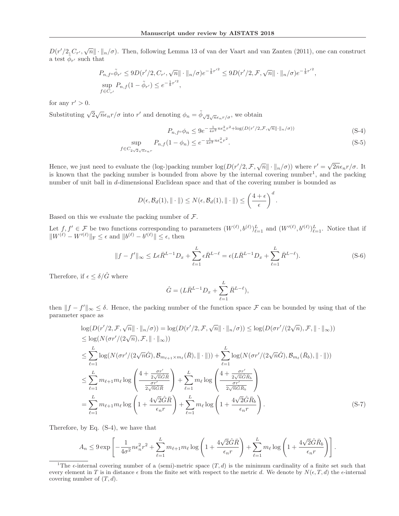$D(r'/2\llcorner C_{r'}, \sqrt{n}\llcorner \cdot \llcorner \parallel_n/\sigma)$ . Then, following Lemma 13 of van der Vaart and van Zanten (2011), one can construct a test  $\phi_{r'}$  such that

$$
P_{n,f} \circ \tilde{\phi}_{r'} \le 9D(r'/2, C_{r'}, \sqrt{n} || \cdot ||_{n}/\sigma) e^{-\frac{1}{8}r'^{2}} \le 9D(r'/2, \mathcal{F}, \sqrt{n} || \cdot ||_{n}/\sigma) e^{-\frac{1}{8}r'^{2}},
$$
  
\n
$$
\sup_{f \in C_{r'}} P_{n,f}(1 - \tilde{\phi}_{r'}) \le e^{-\frac{1}{8}r'^{2}},
$$

for any  $r' > 0$ .

Substituting  $\sqrt{2\sqrt{n}\epsilon_n}r/\sigma$  into r' and denoting  $\phi_n = \tilde{\phi}_{\sqrt{2}\sqrt{n}\epsilon_n r/\sigma}$ , we obtain

$$
P_{n,f} \circ \phi_n \le 9e^{-\frac{1}{4\sigma^2}n\epsilon_n^2 r^2 + \log(D(r'/2,\mathcal{F},\sqrt{n}||\cdot||_n/\sigma))}
$$
(S-4)

$$
\sup_{f \in C_{2\sqrt{2}\sqrt{n}\epsilon_n r}} P_{n,f}(1 - \phi_n) \le e^{-\frac{1}{4\sigma^2} n\epsilon_n^2 r^2}.
$$
\n(S-5)

Hence, we just need to evaluate the (log-)packing number  $\log(D(r'/2, \mathcal{F}, \sqrt{n}\|\cdot\|_n/\sigma))$  where  $r' = \sqrt{2n}\epsilon_n r/\sigma$ . It is known that the packing number is bounded from above by the internal covering number<sup>1</sup>, and the packing number of unit ball in d-dimensional Euclidean space and that of the covering number is bounded as

$$
D(\epsilon, \mathcal{B}_d(1), \|\cdot\|) \le N(\epsilon, \mathcal{B}_d(1), \|\cdot\|) \le \left(\frac{4+\epsilon}{\epsilon}\right)^d.
$$

Based on this we evaluate the packing number of  $\mathcal{F}$ .

Let  $f, f' \in \mathcal{F}$  be two functions corresponding to parameters  $(W^{(\ell)}, b^{(\ell)})_{\ell=1}^L$  and  $(W'^{(\ell)}, b'^{(\ell)})_{\ell=1}^L$ . Notice that if  $\|W^{(\ell)} - W'^{(\ell)}\|_{\mathcal{F}} \leq \epsilon$  and  $\|b^{(\ell)} - b'^{(\ell)}\| \leq \epsilon$ , then

$$
||f - f'||_{\infty} \le L\epsilon \bar{R}^{L-1} D_x + \sum_{\ell=1}^{L} \epsilon \bar{R}^{L-\ell} = \epsilon (L\bar{R}^{L-1} D_x + \sum_{\ell=1}^{L} \bar{R}^{L-\ell}).
$$
 (S-6)

Therefore, if  $\epsilon \leq \delta/\hat{G}$  where

$$
\hat{G} = (L\bar{R}^{L-1}D_x + \sum_{\ell=1}^{L} \bar{R}^{L-\ell}),
$$

then  $||f - f||_{\infty} \leq \delta$ . Hence, the packing number of the function space F can be bounded by using that of the parameter space as

$$
\log(D(r'/2, \mathcal{F}, \sqrt{n}|| \cdot ||_{n}/\sigma)) = \log(D(r'/2, \mathcal{F}, \sqrt{n}|| \cdot ||_{n}/\sigma)) \le \log(D(\sigma r'/(2\sqrt{n}), \mathcal{F}, || \cdot ||_{\infty}))
$$
  
\n
$$
\le \log(N(\sigma r'/(2\sqrt{n}), \mathcal{F}, || \cdot ||_{\infty}))
$$
  
\n
$$
\le \sum_{\ell=1}^{L} \log(N(\sigma r'/(2\sqrt{n}\hat{G}), \mathcal{B}_{m_{\ell+1}\times m_{\ell}}(\bar{R}), || \cdot ||)) + \sum_{\ell=1}^{L} \log(N(\sigma r'/(2\sqrt{n}\hat{G}), \mathcal{B}_{m_{\ell}}(\bar{R}_{b}), || \cdot ||))
$$
  
\n
$$
\le \sum_{\ell=1}^{L} m_{\ell+1} m_{\ell} \log \left( \frac{4 + \frac{\sigma r'}{2\sqrt{n}\hat{G}\bar{R}}}{\frac{\sigma r'}{2\sqrt{n}\hat{G}\bar{R}}}\right) + \sum_{\ell=1}^{L} m_{\ell} \log \left( \frac{4 + \frac{\sigma r'}{2\sqrt{n}\hat{G}\bar{R}_{b}}}{\frac{\sigma r'}{2\sqrt{n}\hat{G}\bar{R}_{b}}}\right)
$$
  
\n
$$
= \sum_{\ell=1}^{L} m_{\ell+1} m_{\ell} \log \left(1 + \frac{4\sqrt{2}\hat{G}\bar{R}}{\epsilon_{n}r}\right) + \sum_{\ell=1}^{L} m_{\ell} \log \left(1 + \frac{4\sqrt{2}\hat{G}\bar{R}_{b}}{\epsilon_{n}r}\right).
$$
 (S-7)

Therefore, by Eq. (S-4), we have that

$$
A_n \le 9 \exp \left[ -\frac{1}{4\sigma^2} n \epsilon_n^2 r^2 + \sum_{\ell=1}^L m_{\ell+1} m_{\ell} \log \left( 1 + \frac{4\sqrt{2} \hat{G} \bar{R}}{\epsilon_n r} \right) + \sum_{\ell=1}^L m_{\ell} \log \left( 1 + \frac{4\sqrt{2} \hat{G} \bar{R}_b}{\epsilon_n r} \right) \right].
$$

<sup>&</sup>lt;sup>1</sup>The  $\epsilon$ -internal covering number of a (semi)-metric space  $(T, d)$  is the minimum cardinality of a finite set such that every element in T is in distance  $\epsilon$  from the finite set with respect to the metric d. We denote by  $N(\epsilon, T, d)$  the  $\epsilon$ -internal covering number of  $(T, d)$ .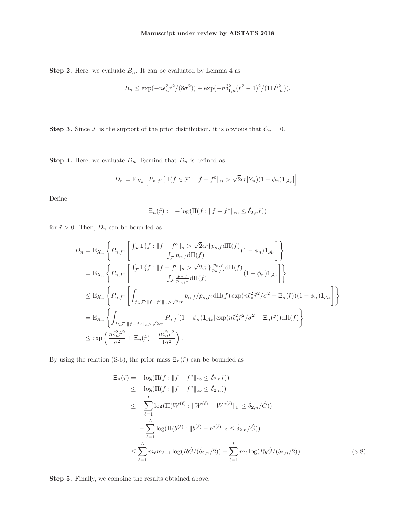**Step 2.** Here, we evaluate  $B_n$ . It can be evaluated by Lemma 4 as

$$
B_n \le \exp(-n\tilde{\epsilon}_n^2 \tilde{r}^2/(8\sigma^2)) + \exp(-n\hat{\delta}_{1,n}^2(\tilde{r}^2 - 1)^2/(11\hat{R}_{\infty}^2)).
$$

**Step 3.** Since  $\mathcal F$  is the support of the prior distribution, it is obvious that  $C_n = 0$ .

**Step 4.** Here, we evaluate  $D_n$ . Remind that  $D_n$  is defined as

$$
D_n = \mathbb{E}_{X_n} \left[ P_{n,f} \circ \left[ \Pi(f \in \mathcal{F} : \|f - f^{\circ}\|_n > \sqrt{2}\epsilon r | Y_n \right) (1 - \phi_n) \mathbf{1}_{\mathcal{A}_{\tilde{r}}} \right].
$$

Define

$$
\Xi_n(\tilde{r}) := -\log(\Pi(f : ||f - f^*||_{\infty} \le \hat{\delta}_{2,n}\tilde{r}))
$$

for  $\tilde{r} > 0.$  Then,  $D_n$  can be bounded as

$$
D_n = \mathcal{E}_{X_n} \left\{ P_{n,f^{\circ}} \left[ \frac{\int_{\mathcal{F}} \mathbf{1}\{f : \|f - f^{\circ}\|_{n} > \sqrt{2}\epsilon r\} p_{n,f} \mathrm{d}\Pi(f)}{\int_{\mathcal{F}} p_{n,f} \mathrm{d}\Pi(f)} (1 - \phi_n) \mathbf{1}_{\mathcal{A}_{\tilde{r}}} \right] \right\}
$$
  
\n
$$
= \mathcal{E}_{X_n} \left\{ P_{n,f^{\circ}} \left[ \frac{\int_{\mathcal{F}} \mathbf{1}\{f : \|f - f^{\circ}\|_{n} > \sqrt{2}\epsilon r\} \frac{p_{n,f}}{p_{n,f^{\circ}}} \mathrm{d}\Pi(f)}{\int_{\mathcal{F}} \frac{p_{n,f}}{p_{n,f^{\circ}}} \mathrm{d}\Pi(f)} (1 - \phi_n) \mathbf{1}_{\mathcal{A}_{\tilde{r}}} \right] \right\}
$$
  
\n
$$
\leq \mathcal{E}_{X_n} \left\{ P_{n,f^{\circ}} \left[ \int_{f \in \mathcal{F}: \|f - f^{\circ}\|_{n} > \sqrt{2}\epsilon r} p_{n,f} / p_{n,f^{\circ}} \mathrm{d}\Pi(f) \exp(n\tilde{\epsilon}_n^2 \tilde{r}^2 / \sigma^2 + \Xi_n(\tilde{r})) (1 - \phi_n) \mathbf{1}_{\mathcal{A}_{\tilde{r}}} \right] \right\}
$$
  
\n
$$
= \mathcal{E}_{X_n} \left\{ \int_{f \in \mathcal{F}: \|f - f^{\circ}\|_{n} > \sqrt{2}\epsilon r} P_{n,f} [(1 - \phi_n) \mathbf{1}_{\mathcal{A}_{\tilde{r}}}] \exp(n\tilde{\epsilon}_n^2 \tilde{r}^2 / \sigma^2 + \Xi_n(\tilde{r})) \mathrm{d}\Pi(f) \right\}
$$
  
\n
$$
\leq \exp\left(\frac{n\tilde{\epsilon}_n^2 \tilde{r}^2}{\sigma^2} + \Xi_n(\tilde{r}) - \frac{n\epsilon_n^2 r^2}{4\sigma^2}\right).
$$

By using the relation (S-6), the prior mass  $\Xi_n(\tilde{r})$  can be bounded as

$$
\begin{split}\n\Xi_n(\tilde{r}) &= -\log(\Pi(f : \|f - f^*\|_{\infty} \le \hat{\delta}_{2,n}\tilde{r})) \\
&\le -\log(\Pi(f : \|f - f^*\|_{\infty} \le \hat{\delta}_{2,n})) \\
&\le -\sum_{\ell=1}^L \log(\Pi(W^{(\ell)} : \|W^{(\ell)} - W^{*(\ell)}\|_{\mathcal{F}} \le \hat{\delta}_{2,n}/\hat{G})) \\
&\quad - \sum_{\ell=1}^L \log(\Pi(b^{(\ell)} : \|b^{(\ell)} - b^{*(\ell)}\|_2 \le \hat{\delta}_{2,n}/\hat{G})) \\
&\le \sum_{\ell=1}^L m_{\ell} m_{\ell+1} \log(\bar{R}\hat{G}/(\hat{\delta}_{2,n}/2)) + \sum_{\ell=1}^L m_{\ell} \log(\bar{R}_b\hat{G}/(\hat{\delta}_{2,n}/2)).\n\end{split} \tag{S-8}
$$

**Step 5.** Finally, we combine the results obtained above.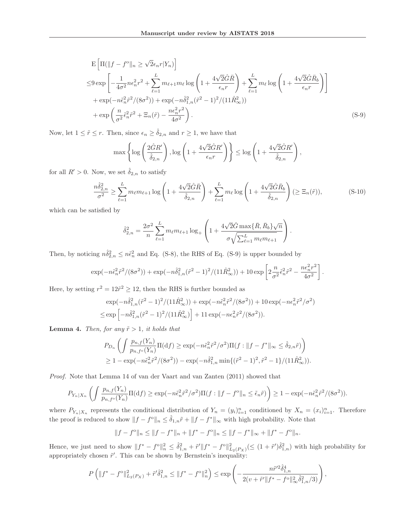$$
\begin{split} &E\left[\Pi(\|f - f^{\text{o}}\|_{n} \ge \sqrt{2}\epsilon_{n}r|Y_{n})\right] \\ &\leq 9\exp\left[-\frac{1}{4\sigma^{2}}n\epsilon_{n}^{2}r^{2} + \sum_{\ell=1}^{L}m_{\ell+1}m_{\ell}\log\left(1 + \frac{4\sqrt{2}\hat{G}\bar{R}}{\epsilon_{n}r}\right) + \sum_{\ell=1}^{L}m_{\ell}\log\left(1 + \frac{4\sqrt{2}\hat{G}\bar{R}_{b}}{\epsilon_{n}r}\right)\right] \\ &+ \exp(-n\tilde{\epsilon}_{n}^{2}\tilde{r}^{2}/(8\sigma^{2})) + \exp(-n\hat{\delta}_{1,n}^{2}(\tilde{r}^{2} - 1)^{2}/(11\hat{R}_{\infty}^{2})) \\ &+ \exp\left(\frac{n}{\sigma^{2}}\tilde{\epsilon}_{n}^{2}\tilde{r}^{2} + \Xi_{n}(\tilde{r}) - \frac{n\epsilon_{n}^{2}r^{2}}{4\sigma^{2}}\right). \end{split} \tag{S-9}
$$

Now, let  $1 \leq \tilde{r} \leq r$ . Then, since  $\epsilon_n \geq \hat{\delta}_{2,n}$  and  $r \geq 1$ , we have that

$$
\max\left\{\log\left(\frac{2\hat{G}R'}{\hat{\delta}_{2,n}}\right),\log\left(1+\frac{4\sqrt{2}\hat{G}R'}{\epsilon_n r}\right)\right\}\leq \log\left(1+\frac{4\sqrt{2}\hat{G}R'}{\hat{\delta}_{2,n}}\right),\right.
$$

for all  $R' > 0$ . Now, we set  $\delta_{2,n}$  to satisfy

$$
\frac{n\hat{\delta}_{2,n}^{2}}{\sigma^{2}} \ge \sum_{\ell=1}^{L} m_{\ell} m_{\ell+1} \log \left( 1 + \frac{4\sqrt{2}\hat{G}\bar{R}}{\hat{\delta}_{2,n}} \right) + \sum_{\ell=1}^{L} m_{\ell} \log \left( 1 + \frac{4\sqrt{2}\hat{G}\bar{R}_{b}}{\hat{\delta}_{2,n}} \right) (\ge \Xi_{n}(\tilde{r})),\tag{S-10}
$$

which can be satisfied by

$$
\hat{\delta}_{2,n}^2 = \frac{2\sigma^2}{n} \sum_{\ell=1}^L m_{\ell} m_{\ell+1} \log_+ \left( 1 + \frac{4\sqrt{2}\hat{G} \max\{\bar{R}, \bar{R}_b\}\sqrt{n}}{\sigma \sqrt{\sum_{\ell=1}^L m_{\ell} m_{\ell+1}}} \right).
$$

Then, by noticing  $n\hat{\delta}_{2,n}^2 \leq n\tilde{\epsilon}_n^2$  and Eq. (S-8), the RHS of Eq. (S-9) is upper bounded by

$$
\exp(-n\tilde{\epsilon}_n^2 \tilde{r}^2/(8\sigma^2)) + \exp(-n\tilde{\delta}_{1,n}^2(\tilde{r}^2-1)^2/(11\hat{R}_{\infty}^2)) + 10 \exp\left[2\frac{n}{\sigma^2}\tilde{\epsilon}_n^2 \tilde{r}^2 - \frac{n\epsilon_n^2 r^2}{4\sigma^2}\right].
$$

Here, by setting  $r^2 = 12\tilde{r}^2 \ge 12$ , then the RHS is further bounded as

$$
\exp(-n\hat{\delta}_{1,n}^2(\tilde{r}^2-1)^2/(11\hat{R}_{\infty}^2)) + \exp(-n\tilde{\epsilon}_n^2\tilde{r}^2/(8\sigma^2)) + 10\exp(-n\epsilon_n^2\tilde{r}^2/\sigma^2)
$$
  

$$
\leq \exp\left[-n\hat{\delta}_{1,n}^2(\tilde{r}^2-1)^2/(11\hat{R}_{\infty}^2)\right] + 11\exp(-n\epsilon_n^2\tilde{r}^2/(8\sigma^2)).
$$

**Lemma 4.** Then, for any  $\tilde{r} > 1$ , it holds that

$$
P_{D_n}\left(\int \frac{p_{n,f}(Y_n)}{p_{n,f^{\circ}}(Y_n)}\Pi(\mathrm{d}f) \ge \exp(-n\tilde{\epsilon}_n^2\tilde{r}^2/\sigma^2)\Pi(f:||f - f^*||_{\infty} \le \hat{\delta}_{2,n}\tilde{r})\right) \ge 1 - \exp(-n\tilde{\epsilon}_n^2\tilde{r}^2/(8\sigma^2)) - \exp(-n\hat{\delta}_{1,n}^2\min\{(\tilde{r}^2 - 1)^2, \tilde{r}^2 - 1\}/(11\hat{R}_{\infty}^2)).
$$

Proof. Note that Lemma 14 of van der Vaart and van Zanten (2011) showed that

$$
P_{Y_n|X_n}\left(\int \frac{p_{n,f}(Y_n)}{p_{n,f^o}(Y_n)}\Pi(\mathrm{d}f)\geq \exp(-n\tilde{\epsilon}_n^2\tilde{r}^2/\sigma^2)\Pi(f:\|f-f^o\|_n\leq \tilde{\epsilon}_n\tilde{r})\right)\geq 1-\exp(-n\tilde{\epsilon}_n^2\tilde{r}^2/(8\sigma^2)).
$$

where  $P_{Y_n|X_n}$  represents the conditional distribution of  $Y_n = (y_i)_{i=1}^n$  conditioned by  $X_n = (x_i)_{i=1}^n$ . Therefore the proof is reduced to show  $||f - f^{\circ}||_n \leq \hat{\delta}_{1,n}\tilde{r} + ||f - f^*||_{\infty}$  with high probability. Note that

$$
||f - f^{\circ}||_{n} \le ||f - f^{*}||_{n} + ||f^{*} - f^{\circ}||_{n} \le ||f - f^{*}||_{\infty} + ||f^{*} - f^{\circ}||_{n}.
$$

Hence, we just need to show  $||f^* - f^0||_h^2 \leq \hat{\delta}_{1,n}^2 + \tilde{f}'||f^* - f^0||_{L_2(P_X)}^2 \leq (1 + \tilde{r}')\hat{\delta}_{1,n}^2$  with high probability for appropriately chosen  $\tilde{r}'$ . This can be shown by Bernstein's inequality:

$$
P\left(\|f^* - f^o\|_{L_2(P_X)}^2 + \tilde{r}'\hat{\delta}_{1,n}^2 \le \|f^* - f^o\|_n^2\right) \le \exp\left(-\frac{n\tilde{r}'^2\hat{\delta}_{1,n}^4}{2(v + \tilde{r}'\|f^* - f^o\|_\infty^2\hat{\delta}_{1,n}^2/3)}\right),
$$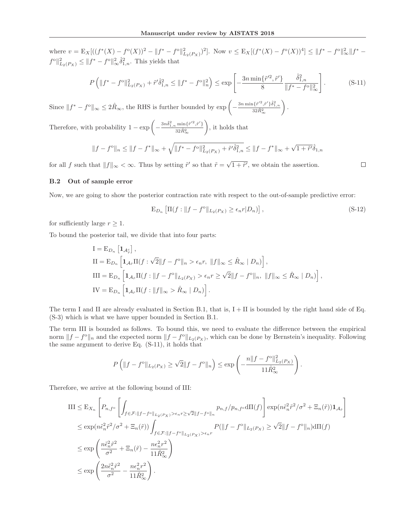where  $v = \mathbb{E}_X[((f^*(X) - f^{\circ}(X))^2 - ||f^* - f^{\circ}||^2_{L_2(P_X)})^2]$ . Now  $v \leq \mathbb{E}_X[(f^*(X) - f^{\circ}(X))^4] \leq ||f^* - f^{\circ}||^2_{\infty}||f^*$  $f^{\circ} \|_{L_2(P_X)}^2 \leq \| f^* - f^{\circ} \|_{\infty}^2 \hat{\delta}_{1,n}^2$ . This yields that

$$
P\left(\|f^* - f^o\|_{L_2(P_X)}^2 + \tilde{r}'\hat{\delta}_{1,n}^2 \le \|f^* - f^o\|_n^2\right) \le \exp\left[-\frac{3n\min\{\tilde{r}'^2, \tilde{r}'\}}{8}\frac{\hat{\delta}_{1,n}^2}{\|f^* - f^o\|_\infty^2}\right].\tag{S-11}
$$

Since  $||f^* - f^{\circ}||_{\infty} \leq 2\hat{R}_{\infty}$ , the RHS is further bounded by  $\exp \left(-\frac{3n \min \{\tilde{r}^{\prime 2}, \tilde{r}^{\prime}\}\hat{\delta}_{1,n}^2}{32 \hat{R}_{\infty}^2}\right)$ .

Therefore, with probability  $1 - \exp \left(-\frac{3n\hat{\delta}_{1,n}^2 \min\{\hat{r}'^2, \hat{r}'\}}{32 \hat{R}_{\infty}^2}\right)$ , it holds that

$$
||f - f^{\rm o}||_n \le ||f - f^*||_{\infty} + \sqrt{||f^* - f^{\rm o}||_{L_2(P_X)}^2 + \tilde{r}'\hat{\delta}_{1,n}^2} \le ||f - f^*||_{\infty} + \sqrt{1 + \tilde{r}'\hat{\delta}_{1,n}}
$$

for all f such that  $||f||_{\infty} < \infty$ . Thus by setting  $\tilde{r}'$  so that  $\tilde{r} = \sqrt{1 + \tilde{r}'}$ , we obtain the assertion.

 $\Box$ 

## **B.2 Out of sample error**

Now, we are going to show the posterior contraction rate with respect to the out-of-sample predictive error:

$$
\mathcal{E}_{D_n} \left[ \Pi(f : \|f - f^o\|_{L_2(P_X)} \ge \epsilon_n r | D_n) \right],\tag{S-12}
$$

for sufficiently large  $r \geq 1$ .

To bound the posterior tail, we divide that into four parts:

$$
I = E_{D_n} \left[ \mathbf{1}_{\mathcal{A}_{\tilde{r}}^c} \right],
$$
  
\n
$$
II = E_{D_n} \left[ \mathbf{1}_{\mathcal{A}_{\tilde{r}}} \Pi(f : \sqrt{2} \| f - f^o \|_n > \epsilon_n r, \|f\|_{\infty} \leq \hat{R}_{\infty} | D_n) \right],
$$
  
\n
$$
III = E_{D_n} \left[ \mathbf{1}_{\mathcal{A}_{\tilde{r}}} \Pi(f : \|f - f^o\|_{L_2(P_X)} > \epsilon_n r \geq \sqrt{2} \|f - f^o\|_n, \|f\|_{\infty} \leq \hat{R}_{\infty} | D_n) \right],
$$
  
\n
$$
IV = E_{D_n} \left[ \mathbf{1}_{\mathcal{A}_{\tilde{r}}} \Pi(f : \|f\|_{\infty} > \hat{R}_{\infty} | D_n) \right].
$$

The term I and II are already evaluated in Section B.1, that is,  $I + II$  is bounded by the right hand side of Eq. (S-3) which is what we have upper bounded in Section B.1.

The term III is bounded as follows. To bound this, we need to evaluate the difference between the empirical norm  $||f - f^{\circ}||_n$  and the expected norm  $||f - f^{\circ}||_{L_2(P_X)}$ , which can be done by Bernstein's inequality. Following the same argument to derive Eq. (S-11), it holds that

$$
P\left(\|f - f^o\|_{L_2(P_X)} \ge \sqrt{2}\|f - f^o\|_n\right) \le \exp\left(-\frac{n\|f - f^o\|_{L_2(P_X)}^2}{11\hat{R}_{\infty}^2}\right).
$$

Therefore, we arrive at the following bound of III:

$$
\begin{split} &\text{III} \leq \mathcal{E}_{X_n} \left[ P_{n,f^{\mathrm{o}}} \left[ \int_{f \in \mathcal{F}: \|f - f^{\mathrm{o}}\|_{L_2(P_X)} > \epsilon_n r \geq \sqrt{2} \|f - f^{\mathrm{o}}\|_n} p_{n,f} / p_{n,f^{\mathrm{o}}} \mathrm{d}\Pi(f) \right] \exp(n\tilde{\epsilon}_n^2 \tilde{r}^2 / \sigma^2 + \Xi_n(\tilde{r})) \mathbf{1}_{\mathcal{A}_{\tilde{r}}} \right] \\ &\leq \exp(n\tilde{\epsilon}_n^2 \tilde{r}^2 / \sigma^2 + \Xi_n(\tilde{r})) \int_{f \in \mathcal{F}: \|f - f^{\mathrm{o}}\|_{L_2(P_X)} > \epsilon_n r} P(\|f - f^{\mathrm{o}}\|_{L_2(P_X)} \geq \sqrt{2} \|f - f^{\mathrm{o}}\|_n) \mathrm{d}\Pi(f) \\ &\leq \exp\left(\frac{n\tilde{\epsilon}_n^2 \tilde{r}^2}{\sigma^2} + \Xi_n(\tilde{r}) - \frac{n\epsilon_n^2 r^2}{11 \hat{R}_{\infty}^2}\right) \\ &\leq \exp\left(\frac{2n\tilde{\epsilon}_n^2 \tilde{r}^2}{\sigma^2} - \frac{n\epsilon_n^2 r^2}{11 \hat{R}_{\infty}^2}\right). \end{split}
$$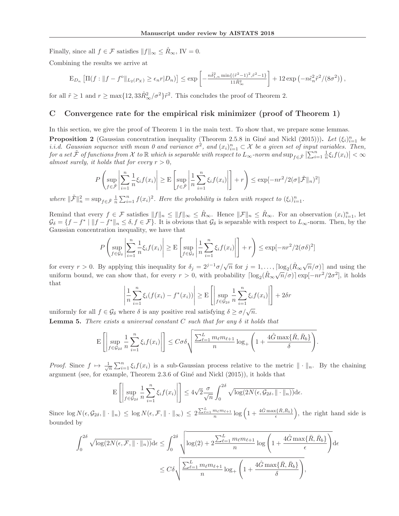Finally, since all  $f \in \mathcal{F}$  satisfies  $||f||_{\infty} \leq \hat{R}_{\infty}$ , IV = 0.

Combining the results we arrive at

$$
\mathcal{E}_{D_n}\left[\Pi(f:||f-f^o||_{L_2(P_X)}\geq\epsilon_nr|D_n)\right]\leq \exp\left[-\frac{n\hat{\delta}_{1,n}^2\min\{(\tilde{r}^2-1)^2,\tilde{r}^2-1\}}{11\hat{R}_\infty^2}\right]+12\exp\left(-n\tilde{\epsilon}_n^2\tilde{r}^2/(8\sigma^2)\right),
$$

for all  $\tilde{r} \ge 1$  and  $r \ge \max\{12, 33\hat{R}_{\infty}^2/\sigma^2\}\tilde{r}^2$ . This concludes the proof of Theorem 2.

## **C Convergence rate for the empirical risk minimizer (proof of Theorem 1)**

In this section, we give the proof of Theorem 1 in the main text. To show that, we prepare some lemmas.

**Proposition 2** (Gaussian concentration inequality (Theorem 2.5.8 in Giné and Nickl (2015))). Let  $(\xi_i)_{i=1}^n$  be i.i.d. Converges with mean 0 and variance  $\tau^2$  and  $(x_i)^n \subset X$  be a given set of input variables. Then i.i.d. Gaussian sequence with mean 0 and variance  $\sigma^2$ , and  $(x_i)_{i=1}^n \subset \mathcal{X}$  be a given set of input variables. Then,<br>for a set  $\tilde{\mathcal{F}}$  of functions from  $\mathcal{X}$  to  $\mathbb{R}$  which is separable with respect to for a set  $\tilde{\mathcal{F}}$  of functions from  $\mathcal{X}$  to  $\mathbb{R}$  which is separable with respect to  $L_{\infty}$ -norm and  $\sup_{f \in \tilde{\mathcal{F}}} |\sum_{i=1}^{n} \frac{1}{n} \xi_i f(x_i)| < \infty$ <br>almost surgly, it holds that for every  $r > 0$ almost surely, it holds that for every  $r > 0$ ,

$$
P\left(\sup_{f\in\tilde{\mathcal{F}}}\left|\sum_{i=1}^n\frac{1}{n}\xi_if(x_i)\right|\geq E\left[\sup_{f\in\tilde{\mathcal{F}}}\left|\frac{1}{n}\sum_{i=1}^n\xi_if(x_i)\right|\right]+r\right)\leq \exp[-nr^2/2(\sigma\|\tilde{\mathcal{F}}\|_n)^2]
$$

where  $\|\tilde{\mathcal{F}}\|^2_n = \sup_{f \in \tilde{\mathcal{F}}} \frac{1}{n} \sum_{i=1}^n f(x_i)^2$ . Here the probability is taken with respect to  $(\xi_i)_{i=1}^n$ .

Remind that every  $f \in \mathcal{F}$  satisfies  $||f||_n \le ||f||_{\infty} \le \hat{R}_{\infty}$ . Hence  $||\mathcal{F}||_n \le \hat{R}_{\infty}$ . For an observation  $(x_i)_{i=1}^n$ , let  $G_i = \{f = f^* \mid ||f = f^*|| \le \delta, f \in \mathcal{F}\}$ . It is obvious that  $G_i$  is somephible with re  $\mathcal{G}_{\delta} = \{f - f^* \mid ||f - f^*||_n \leq \delta, f \in \mathcal{F}\}.$  It is obvious that  $\mathcal{G}_{\delta}$  is separable with respect to  $L_{\infty}$ -norm. Then, by the Gaussian concentration inequality, we have that

$$
P\left(\sup_{f\in\mathcal{G}_{\delta}}\left|\sum_{i=1}^{n}\frac{1}{n}\xi_{i}f(x_{i})\right|\geq \mathcal{E}\left[\sup_{f\in\mathcal{G}_{\delta}}\left|\frac{1}{n}\sum_{i=1}^{n}\xi_{i}f(x_{i})\right|\right]+r\right)\leq \exp[-nr^{2}/2(\sigma\delta)^{2}]
$$

for every  $r > 0$ . By applying this inequality for  $\delta_j = 2^{j-1}\sigma/\sqrt{n}$  for  $j = 1, \ldots, \lceil \log_2(\hat{R}_{\infty}\sqrt{n}/\sigma) \rceil$  and using the uniform bound, we can show that, for every  $r > 0$ , with probability  $\lceil \log_2(\hat{R}_{\infty}\sqrt{n}/\sigma) \rceil \exp[-nr^2/2\sigma^2]$ , it holds that

$$
\left|\frac{1}{n}\sum_{i=1}^{n}\xi_i(f(x_i)-f^*(x_i))\right| \ge \mathcal{E}\left[\left|\sup_{f\in\mathcal{G}_{2\delta}}\frac{1}{n}\sum_{i=1}^{n}\xi_i f(x_i)\right|\right] + 2\delta r
$$

uniformly for all  $f \in \mathcal{G}_\delta$  where  $\delta$  is any positive real satisfying  $\delta \geq \sigma/\sqrt{n}$ . **Lemma 5.** There exists a universal constant C such that for any  $\delta$  it holds that

$$
\mathbf{E}\left[\left|\sup_{f\in\mathcal{G}_{2\delta}}\frac{1}{n}\sum_{i=1}^n\xi_if(x_i)\right|\right]\leq C\sigma\delta\sqrt{\frac{\sum_{\ell=1}^Lm_\ell m_{\ell+1}}{n}\log_+\left(1+\frac{4\hat{G}\max\{\bar{R},\bar{R}_b\}}{\delta}\right)}.
$$

*Proof.* Since  $f \mapsto \frac{1}{\sqrt{n}} \sum_{i=1}^{n} \xi_i f(x_i)$  is a sub-Gaussian process relative to the metric  $\|\cdot\|_n$ . By the chaining argument (see, for example, Theorem  $2.3.6$  of Giné and Nickl  $(2015)$ ), it holds that

$$
\mathbf{E}\left[\left|\sup_{f\in\mathcal{G}_{2\delta}}\frac{1}{n}\sum_{i=1}^n\xi_if(x_i)\right|\right]\leq 4\sqrt{2}\frac{\sigma}{\sqrt{n}}\int_0^{2\delta}\sqrt{\log(2N(\epsilon,\mathcal{G}_{2\delta},\|\cdot\|_n))}\mathrm{d}\epsilon.
$$

Since  $\log N(\epsilon, \mathcal{G}_{2\delta}, \| \cdot \|_n) \leq \log N(\epsilon, \mathcal{F}, \| \cdot \|_{\infty}) \leq 2 \frac{\sum_{\ell=1}^L m_{\ell} m_{\ell+1}}{n} \log \left(1 + \frac{4 \hat{G} \max\{\bar{R}, \bar{R}_b\}}{\epsilon}\right)$ , the right hand side is bounded by

$$
\int_0^{2\delta} \sqrt{\log(2N(\epsilon, \mathcal{F}, \|\cdot\|_n))} d\epsilon \le \int_0^{2\delta} \sqrt{\log(2) + 2\frac{\sum_{\ell=1}^L m_\ell m_{\ell+1}}{n} \log\left(1 + \frac{4\hat{G} \max\{\bar{R}, \bar{R}_b\}}{\epsilon}\right)} d\epsilon
$$
  

$$
\le C\delta \sqrt{\frac{\sum_{\ell=1}^L m_\ell m_{\ell+1}}{n} \log_+\left(1 + \frac{4\hat{G} \max\{\bar{R}, \bar{R}_b\}}{\delta}\right)},
$$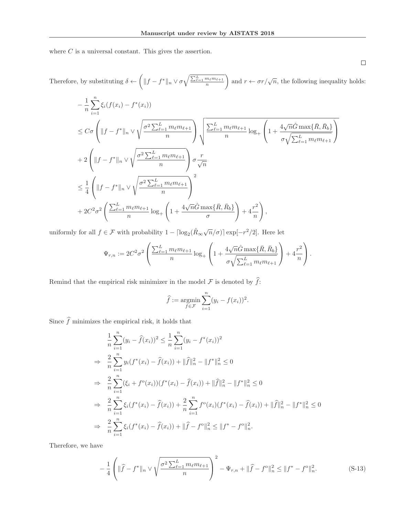where  $C$  is a universal constant. This gives the assertion.

Therefore, by substituting 
$$
\delta \leftarrow \left( ||f - f^*||_n \vee \sigma \sqrt{\frac{\sum_{\ell=1}^L m_\ell m_{\ell+1}}{n}} \right)
$$
 and  $r \leftarrow \sigma r/\sqrt{n}$ , the following inequality holds:

$$
-\frac{1}{n}\sum_{i=1}^{n}\xi_{i}(f(x_{i})-f^{*}(x_{i}))
$$
  
\n
$$
\leq C\sigma \left(\|f-f^{*}\|_{n} \vee \sqrt{\frac{\sigma^{2} \sum_{\ell=1}^{L} m_{\ell} m_{\ell+1}}{n}}\right) \sqrt{\frac{\sum_{\ell=1}^{L} m_{\ell} m_{\ell+1}}{n}} \log_{+} \left(1 + \frac{4\sqrt{n}\hat{G} \max\{\bar{R}, \bar{R}_{b}\}}{\sigma \sqrt{\sum_{\ell=1}^{L} m_{\ell} m_{\ell+1}}}\right)
$$
  
\n+2
$$
\left(\|f-f^{*}\|_{n} \vee \sqrt{\frac{\sigma^{2} \sum_{\ell=1}^{L} m_{\ell} m_{\ell+1}}{n}}\right) \sigma \frac{r}{\sqrt{n}}
$$
  
\n
$$
\leq \frac{1}{4} \left(\|f-f^{*}\|_{n} \vee \sqrt{\frac{\sigma^{2} \sum_{\ell=1}^{L} m_{\ell} m_{\ell+1}}{n}}\right)^{2}
$$
  
\n+2C<sup>2</sup> $\sigma^{2}$  $\left(\frac{\sum_{\ell=1}^{L} m_{\ell} m_{\ell+1}}{n} \log_{+} \left(1 + \frac{4\sqrt{n}\hat{G} \max\{\bar{R}, \bar{R}_{b}\}}{\sigma}\right) + 4\frac{r^{2}}{n}\right),$ 

uniformly for all  $f \in \mathcal{F}$  with probability  $1 - \lceil \log_2(\hat{R}_{\infty}\sqrt{n}/\sigma) \rceil \exp[-r^2/2]$ . Here let

$$
\Psi_{r,n} := 2C^2 \sigma^2 \left( \frac{\sum_{\ell=1}^L m_{\ell} m_{\ell+1}}{n} \log_+ \left( 1 + \frac{4\sqrt{n}\hat{G} \max\{\bar{R}, \bar{R}_b\}}{\sigma \sqrt{\sum_{\ell=1}^L m_{\ell} m_{\ell+1}}} \right) + 4\frac{r^2}{n} \right).
$$

Remind that the empirical risk minimizer in the model  $\mathcal F$  is denoted by  $f$ :

$$
\widehat{f} := \underset{f \in \mathcal{F}}{\operatorname{argmin}} \sum_{i=1}^{n} (y_i - f(x_i))^2.
$$

Since  $f$  minimizes the empirical risk, it holds that

$$
\frac{1}{n}\sum_{i=1}^{n}(y_{i}-\hat{f}(x_{i}))^{2} \leq \frac{1}{n}\sum_{i=1}^{n}(y_{i}-f^{*}(x_{i}))^{2}
$$
\n
$$
\Rightarrow \frac{2}{n}\sum_{i=1}^{n}y_{i}(f^{*}(x_{i})-\hat{f}(x_{i})) + \|\hat{f}\|_{n}^{2} - \|f^{*}\|_{n}^{2} \leq 0
$$
\n
$$
\Rightarrow \frac{2}{n}\sum_{i=1}^{n}(\xi_{i}+f^{o}(x_{i}))(f^{*}(x_{i})-\hat{f}(x_{i})) + \|\hat{f}\|_{n}^{2} - \|f^{*}\|_{n}^{2} \leq 0
$$
\n
$$
\Rightarrow \frac{2}{n}\sum_{i=1}^{n}\xi_{i}(f^{*}(x_{i})-\hat{f}(x_{i})) + \frac{2}{n}\sum_{i=1}^{n}f^{o}(x_{i})(f^{*}(x_{i})-\hat{f}(x_{i})) + \|\hat{f}\|_{n}^{2} - \|f^{*}\|_{n}^{2} \leq 0
$$
\n
$$
\Rightarrow \frac{2}{n}\sum_{i=1}^{n}\xi_{i}(f^{*}(x_{i})-\hat{f}(x_{i})) + \|\hat{f}-f^{o}\|_{n}^{2} \leq \|f^{*}-f^{o}\|_{n}^{2}.
$$

Therefore, we have

$$
-\frac{1}{4}\left(\|\widehat{f}-f^*\|_n \vee \sqrt{\frac{\sigma^2 \sum_{\ell=1}^L m_\ell m_{\ell+1}}{n}}\right)^2 - \Psi_{r,n} + \|\widehat{f}-f^o\|_n^2 \le \|f^* - f^o\|_n^2. \tag{S-13}
$$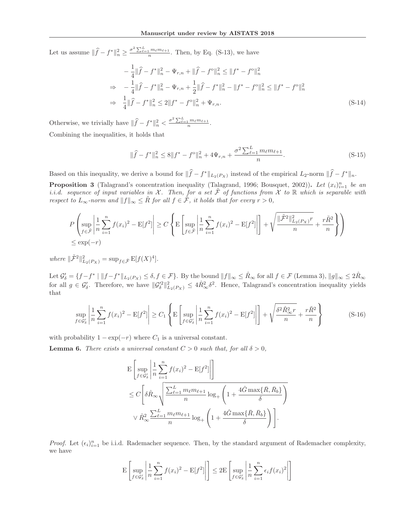Let us assume  $\|\widehat{f} - f^*\|_n^2 \ge \frac{\sigma^2 \sum_{\ell=1}^L m_\ell m_{\ell+1}}{n}$ . Then, by Eq. (S-13), we have

$$
-\frac{1}{4} \|\hat{f} - f^*\|_n^2 - \Psi_{r,n} + \|\hat{f} - f^o\|_n^2 \le \|f^* - f^o\|_n^2
$$
  
\n
$$
\Rightarrow -\frac{1}{4} \|\hat{f} - f^*\|_n^2 - \Psi_{r,n} + \frac{1}{2} \|\hat{f} - f^*\|_n^2 - \|f^* - f^o\|_n^2 \le \|f^* - f^o\|_n^2
$$
  
\n
$$
\Rightarrow \frac{1}{4} \|\hat{f} - f^*\|_n^2 \le 2 \|f^* - f^o\|_n^2 + \Psi_{r,n}.
$$
 (S-14)

Otherwise, we trivially have  $\|\widehat{f} - f^*\|_n^2 < \frac{\sigma^2 \sum_{\ell=1}^L m_\ell m_{\ell+1}}{n}$ . Combining the inequalities, it holds that

$$
\|\hat{f} - f^*\|_n^2 \le 8\|f^* - f^{\circ}\|_n^2 + 4\Psi_{r,n} + \frac{\sigma^2 \sum_{\ell=1}^L m_\ell m_{\ell+1}}{n}.
$$
\n(S-15)

Based on this inequality, we derive a bound for  $||f - f^*||_{L_2(P_X)}$  instead of the empirical  $L_2$ -norm  $||f - f^*||_n$ .

**Proposition 3** (Talagrand's concentration inequality (Talagrand, 1996; Bousquet, 2002)). Let  $(x_i)_{i=1}^n$  be an i.i.d. sequence of input variables in  $X$ . Then for a set  $\tilde{\mathcal{F}}$  of functions from  $X$  to  $\mathbb{R}$  whic i.i.d. sequence of input variables in X. Then, for a set  $\tilde{\mathcal{F}}$  of functions from  $\tilde{\mathcal{X}}$  to  $\mathbb R$  which is separable with respect to  $L_{\infty}$ -norm and  $||f||_{\infty} \leq \tilde{R}$  for all  $f \in \tilde{\mathcal{F}}$ , it holds that for every  $r > 0$ ,

$$
P\left(\sup_{f\in\tilde{\mathcal{F}}}\left|\frac{1}{n}\sum_{i=1}^n f(x_i)^2 - \mathbb{E}[f^2]\right| \ge C\left\{\mathbb{E}\left[\sup_{f\in\tilde{\mathcal{F}}}\left|\frac{1}{n}\sum_{i=1}^n f(x_i)^2 - \mathbb{E}[f^2]\right|\right] + \sqrt{\frac{\|\tilde{\mathcal{F}}^2\|_{L_2(P_X)}^2 r}{n}} + \frac{r\tilde{R}^2}{n}\right\}\right)
$$
  

$$
\le \exp(-r)
$$

where  $\|\tilde{\mathcal{F}}^{2}\|_{L_2(P_X)}^2 = \sup_{f \in \tilde{\mathcal{F}}} \mathbb{E}[f(X)^4].$ 

Let  $\mathcal{G}'_0 = \{f - f^* \mid ||f - f^*||_{L_2(P_X)} \le \delta, f \in \mathcal{F}\}\.$  By the bound  $||f||_{\infty} \le \hat{R}_{\infty}$  for all  $f \in \mathcal{F}$  (Lemma 3),  $||g||_{\infty} \le 2\hat{R}_{\infty}$ for all  $g \in \mathcal{G}'_{\delta}$ . Therefore, we have  $\|\mathcal{G}'_{\delta}\|_{L_2(P_X)}^2 \leq 4\hat{R}_{\infty}^2 \delta^2$ . Hence, Talagrand's concentration inequality yields that

$$
\sup_{f \in \mathcal{G}'_{\delta}} \left| \frac{1}{n} \sum_{i=1}^{n} f(x_i)^2 - \mathbb{E}[f^2] \right| \ge C_1 \left\{ \mathbb{E} \left[ \sup_{f \in \mathcal{G}'_{\delta}} \left| \frac{1}{n} \sum_{i=1}^{n} f(x_i)^2 - \mathbb{E}[f^2] \right| \right] + \sqrt{\frac{\delta^2 \hat{R}_{\infty}^2 r}{n}} + \frac{r \tilde{R}^2}{n} \right\} \tag{S-16}
$$

with probability  $1 - \exp(-r)$  where  $C_1$  is a universal constant.

**Lemma 6.** There exists a universal constant  $C > 0$  such that, for all  $\delta > 0$ ,

$$
\begin{split} & \mathbf{E} \left[ \sup_{f \in \mathcal{G}'_{\delta}} \left| \frac{1}{n} \sum_{i=1}^{n} f(x_i)^2 - \mathbf{E}[f^2] \right| \right] \\ &\leq C \left[ \delta \hat{R}_{\infty} \sqrt{\frac{\sum_{\ell=1}^{L} m_{\ell} m_{\ell+1}}{n} \log_{+} \left( 1 + \frac{4 \hat{G} \max \{ \bar{R}, \bar{R}_b \}}{\delta} \right)} \right. \\ & \qquad \qquad \vee \hat{R}_{\infty}^2 \frac{\sum_{\ell=1}^{L} m_{\ell} m_{\ell+1}}{n} \log_{+} \left( 1 + \frac{4 \hat{G} \max \{ \bar{R}, \bar{R}_b \}}{\delta} \right) \right]. \end{split}
$$

*Proof.* Let  $(\epsilon_i)_{i=1}^n$  be i.i.d. Rademacher sequence. Then, by the standard argument of Rademacher complexity, we have

$$
\mathbf{E}\left[\sup_{f\in\mathcal{G}'_{\delta}}\left|\frac{1}{n}\sum_{i=1}^{n}f(x_{i})^{2}-\mathbf{E}[f^{2}]\right|\right] \leq 2\mathbf{E}\left[\sup_{f\in\mathcal{G}'_{\delta}}\left|\frac{1}{n}\sum_{i=1}^{n}\epsilon_{i}f(x_{i})^{2}\right|\right]
$$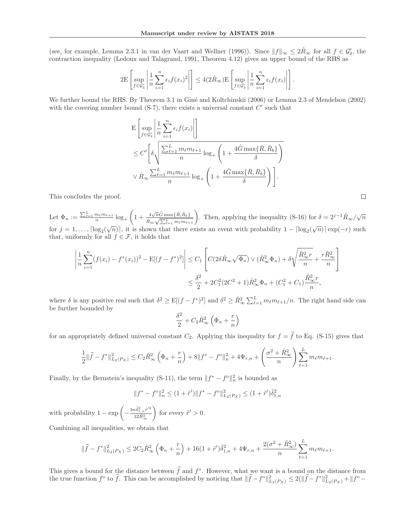(see, for example, Lemma 2.3.1 in van der Vaart and Wellner (1996)). Since  $||f||_{\infty} \leq 2R_{\infty}$  for all  $f \in \mathcal{G}'_{\delta}$ , the contraction inequality (Ledoux and Talagrand, 1991, Theorem 4.12) gives an upper bound of the RHS as

$$
2E\left[\sup_{f\in\mathcal{G}'_{\delta}}\left|\frac{1}{n}\sum_{i=1}^{n}\epsilon_{i}f(x_{i})^{2}\right|\right] \leq 4(2\hat{R}_{\infty})E\left[\sup_{f\in\mathcal{G}'_{\delta}}\left|\frac{1}{n}\sum_{i=1}^{n}\epsilon_{i}f(x_{i})\right|\right].
$$

We further bound the RHS. By Theorem 3.1 in Giné and Koltchinskii (2006) or Lemma 2.3 of Mendelson (2002) with the covering number bound  $(S-7)$ , there exists a universal constant  $C'$  such that

$$
\begin{split} & \mathbf{E} \left[ \sup_{f \in \mathcal{G}'_{\delta}} \left| \frac{1}{n} \sum_{i=1}^{n} \epsilon_i f(x_i) \right| \right] \\ &\leq C' \left[ \delta \sqrt{\frac{\sum_{\ell=1}^{L} m_{\ell} m_{\ell+1}}{n}} \log_{+} \left( 1 + \frac{4 \hat{G} \max \{ \bar{R}, \bar{R}_b \}}{\delta} \right) \right] \\ &\quad \forall \ \hat{R}_{\infty} \frac{\sum_{\ell=1}^{L} m_{\ell} m_{\ell+1}}{n} \log_{+} \left( 1 + \frac{4 \hat{G} \max \{ \bar{R}, \bar{R}_b \}}{\delta} \right) \right]. \end{split}
$$

This concludes the proof.

Let  $\Phi_n := \frac{\sum_{\ell=1}^L m_\ell m_{\ell+1}}{n} \log_+$  $\sqrt{ }$  $1+\frac{4\sqrt{n}\hat{G}\max\{\bar{R},\bar{R}_b\}}{\hat{D}L}$  $\frac{4\sqrt{n}\hat{G}\max\{\bar{R},\bar{R}_b\}}{\hat{R}_{\infty}\sqrt{\sum_{\ell=1}^L m_\ell m_{\ell+1}}}$ . Then, applying the inequality (S-16) for  $\delta = 2^{j-1}\hat{R}_{\infty}/\sqrt{n}$ for  $j = 1, \ldots, \lceil \log_2(\sqrt{n}) \rceil$ , it is shown that there exists an event with probability  $1 - \lceil \log_2(\sqrt{n}) \rceil \exp(-r)$  such that uniformly for all  $f \in \mathcal{F}$  it holds that that, uniformly for all  $f \in \mathcal{F}$ , it holds that

$$
\left| \frac{1}{n} \sum_{i=1}^{n} (f(x_i) - f^*(x_i))^2 - \mathbb{E}[(f - f^*)^2] \right| \leq C_1 \left[ C(2\delta \hat{R}_{\infty} \sqrt{\Phi_n}) \vee (\hat{R}_{\infty}^2 \Phi_n) + \delta \sqrt{\frac{\hat{R}_{\infty}^2 r}{n}} + \frac{r \hat{R}_{\infty}^2}{n} \right]
$$
  

$$
\leq \frac{\delta^2}{2} + 2C_1^2 (2C^2 + 1) \hat{R}_{\infty}^2 \Phi_n + (C_1^2 + C_1) \frac{\hat{R}_{\infty}^2 r}{n},
$$

where  $\delta$  is any positive real such that  $\delta^2 \geq E[(f - f^*)^2]$  and  $\delta^2 \geq \hat{R}_{\infty}^2 \sum_{\ell=1}^L m_{\ell} m_{\ell+1}/n$ . The right hand side can be further bounded by

$$
\frac{\delta^2}{2} + C_2 \hat{R}_{\infty}^2 \left(\Phi_n + \frac{r}{n}\right)
$$

for an appropriately defined universal constant  $C_2$ . Applying this inequality for  $f = f$  to Eq. (S-15) gives that

$$
\frac{1}{2} \|\hat{f} - f^*\|_{L_2(P_X)}^2 \leq C_2 \hat{R}_{\infty}^2 \left(\Phi_n + \frac{r}{n}\right) + 8\|f^* - f^{\circ}\|_n^2 + 4\Psi_{r,n} + \left(\frac{\sigma^2 + \hat{R}_{\infty}^2}{n}\right) \sum_{\ell=1}^L m_{\ell} m_{\ell+1}.
$$

Finally, by the Bernstein's inequality (S-11), the term  $|| f^* - f^{\circ} ||_n^2$  is bounded as

$$
||f^* - f^{\circ}||_n^2 \le (1 + \tilde{r}')||f^* - f^{\circ}||_{L_2(P_X)}^2 \le (1 + \tilde{r}')\hat{\delta}_{1,n}^2
$$

with probability  $1 - \exp \left(-\frac{3n\hat{\delta}_{1,n}^2\tilde{r}^2}{32\hat{R}_{\infty}^2}\right)$  $32\hat{R}_{\infty}^2$ for every  $\tilde{r}' > 0$ .

Combining all inequalities, we obtain that

$$
\|\widehat{f} - f^*\|_{L_2(P_X)}^2 \leq 2C_2 \widehat{R}_{\infty}^2 \left(\Phi_n + \frac{r}{n}\right) + 16(1 + \tilde{r}')\widehat{\delta}_{1,n}^2 + 4\Psi_{r,n} + \frac{2(\sigma^2 + \widehat{R}_{\infty}^2)}{n} \sum_{\ell=1}^L m_{\ell} m_{\ell+1}.
$$

This gives a bound for the distance between f and  $f^*$ . However, what we want is a bound on the distance from the true function  $f^{\circ}$  to f. This can be accomplished by noticing that  $||f - f^{\circ}||_{L_2(P_X)}^2 \le 2(||f - f^*||_{L_2(P_X)}^2 + ||f^{\circ} - f^*||_{L_2(P_X)}^2$ 

 $\Box$